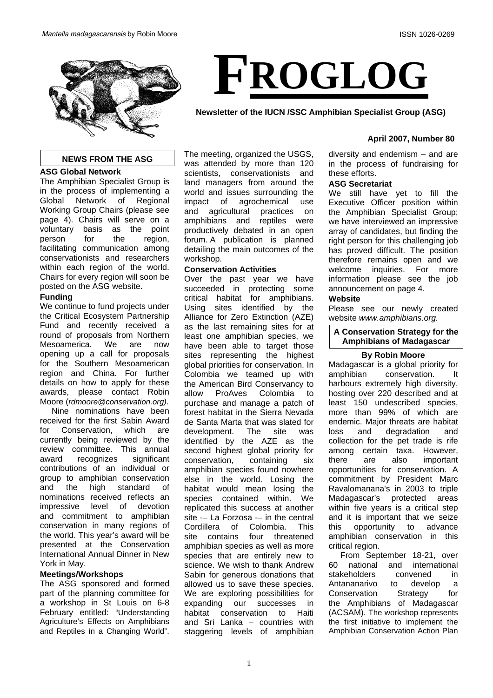

### **NEWS FROM THE ASG**

### **ASG Global Network**

The Amphibian Specialist Group is in the process of implementing a Global Network of Regional Working Group Chairs (please see page 4). Chairs will serve on a voluntary basis as the point person for the region, facilitating communication among conservationists and researchers within each region of the world. Chairs for every region will soon be posted on the ASG website.

### **Funding**

We continue to fund projects under the Critical Ecosystem Partnership Fund and recently received a round of proposals from Northern Mesoamerica. We are now opening up a call for proposals for the Southern Mesoamerican region and China. For further details on how to apply for these awards, please contact Robin Moore (*rdmoore@conservation.org).*

Nine nominations have been received for the first Sabin Award for Conservation, which are currently being reviewed by the review committee. This annual award recognizes significant contributions of an individual or group to amphibian conservation and the high standard of nominations received reflects an impressive level of devotion and commitment to amphibian conservation in many regions of the world. This year's award will be presented at the Conservation International Annual Dinner in New York in May.

### **Meetings/Workshops**

The ASG sponsored and formed part of the planning committee for a workshop in St Louis on 6-8 February entitled: "Understanding Agriculture's Effects on Amphibians and Reptiles in a Changing World". The meeting, organized the USGS, was attended by more than 120 scientists, conservationists and land managers from around the world and issues surrounding the impact of agrochemical use and agricultural practices on amphibians and reptiles were productively debated in an open forum. A publication is planned detailing the main outcomes of the workshop.

### **Conservation Activities**

Over the past year we have succeeded in protecting some critical habitat for amphibians. Using sites identified by the Alliance for Zero Extinction (AZE) as the last remaining sites for at least one amphibian species, we have been able to target those sites representing the highest global priorities for conservation. In Colombia we teamed up with the American Bird Conservancy to allow ProAves Colombia to purchase and manage a patch of forest habitat in the Sierra Nevada de Santa Marta that was slated for development. The site was identified by the AZE as the second highest global priority for conservation, containing six amphibian species found nowhere else in the world. Losing the habitat would mean losing the species contained within. We replicated this success at another site -- La Forzosa -- in the central Cordillera of Colombia. This site contains four threatened amphibian species as well as more species that are entirely new to science. We wish to thank Andrew Sabin for generous donations that allowed us to save these species. We are exploring possibilities for expanding our successes in habitat conservation to Haiti and Sri Lanka – countries with staggering levels of amphibian

## **April 2007, Number 80**

diversity and endemism – and are in the process of fundraising for these efforts.

### **ASG Secretariat**

**FROGLOG**

**Newsletter of the IUCN /SSC Amphibian Specialist Group (ASG)** 

We still have yet to fill the Executive Officer position within the Amphibian Specialist Group; we have interviewed an impressive array of candidates, but finding the right person for this challenging job has proved difficult. The position therefore remains open and we welcome inquiries. For more information please see the job announcement on page 4.

### **Website**

Please see our newly created website *www.amphibians.org.*

# **A Conservation Strategy for the Amphibians of Madagascar**

# **By Robin Moore**

this Madagascar is a global priority for amphibian conservation. It harbours extremely high diversity, hosting over 220 described and at least 150 undescribed species, more than 99% of which are endemic. Major threats are habitat loss and degradation and collection for the pet trade is rife among certain taxa. However, there are also important opportunities for conservation. A commitment by President Marc Ravalomanana's in 2003 to triple Madagascar's protected areas within five years is a critical step and it is important that we seize opportunity to advance amphibian conservation in this critical region.

From September 18-21, over 60 national and international stakeholders convened in Antananarivo to develop a Conservation Strategy for the Amphibians of Madagascar (ACSAM). The workshop represents the first initiative to implement the Amphibian Conservation Action Plan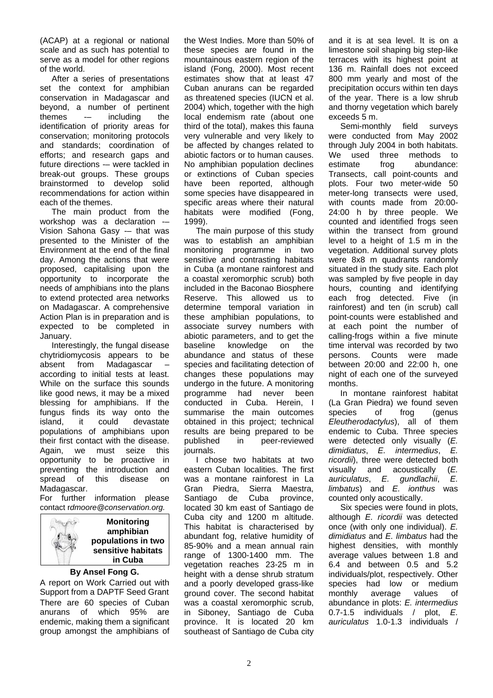(ACAP) at a regional or national scale and as such has potential to serve as a model for other regions of the world.

After a series of presentations set the context for amphibian conservation in Madagascar and beyond, a number of pertinent themes -– including the identification of priority areas for conservation; monitoring protocols and standards; coordination of efforts; and research gaps and future directions -– were tackled in break-out groups. These groups brainstormed to develop solid recommendations for action within each of the themes.

The main product from the workshop was a declaration -– Vision Sahona Gasy -– that was presented to the Minister of the Environment at the end of the final day. Among the actions that were proposed, capitalising upon the opportunity to incorporate the needs of amphibians into the plans to extend protected area networks on Madagascar. A comprehensive Action Plan is in preparation and is expected to be completed in January.

Interestingly, the fungal disease chytridiomycosis appears to be absent from Madagascar – according to initial tests at least. While on the surface this sounds like good news, it may be a mixed blessing for amphibians. If the fungus finds its way onto the island, it could devastate populations of amphibians upon their first contact with the disease. Again, we must seize this opportunity to be proactive in preventing the introduction and spread of this disease on Madagascar.

For further information please contact r*dmoore@conservation.org.* 



**Monitoring amphibian populations in two sensitive habitats in Cuba**

# **By Ansel Fong G.**

A report on Work Carried out with Support from a DAPTF Seed Grant There are 60 species of Cuban anurans of which 95% are endemic, making them a significant group amongst the amphibians of the West Indies. More than 50% of these species are found in the mountainous eastern region of the island (Fong, 2000). Most recent estimates show that at least 47 Cuban anurans can be regarded as threatened species (IUCN et al. 2004) which, together with the high local endemism rate (about one third of the total), makes this fauna very vulnerable and very likely to be affected by changes related to abiotic factors or to human causes. No amphibian population declines or extinctions of Cuban species have been reported, although some species have disappeared in specific areas where their natural habitats were modified (Fong, 1999).

The main purpose of this study was to establish an amphibian monitoring programme in two sensitive and contrasting habitats in Cuba (a montane rainforest and a coastal xeromorphic scrub) both included in the Baconao Biosphere Reserve. This allowed us to determine temporal variation in these amphibian populations, to associate survey numbers with abiotic parameters, and to get the baseline knowledge on the abundance and status of these species and facilitating detection of changes these populations may undergo in the future. A monitoring programme had never been conducted in Cuba. Herein, I summarise the main outcomes obtained in this project; technical results are being prepared to be published in peer-reviewed journals.

I chose two habitats at two eastern Cuban localities. The first was a montane rainforest in La Gran Piedra, Sierra Maestra, Santiago de Cuba province, located 30 km east of Santiago de Cuba city and 1200 m altitude. This habitat is characterised by abundant fog, relative humidity of 85-90% and a mean annual rain range of 1300-1400 mm. The vegetation reaches 23-25 m in height with a dense shrub stratum and a poorly developed grass-like ground cover. The second habitat was a coastal xeromorphic scrub, in Siboney, Santiago de Cuba province. It is located 20 km southeast of Santiago de Cuba city and it is at sea level. It is on a limestone soil shaping big step-like terraces with its highest point at 136 m. Rainfall does not exceed 800 mm yearly and most of the precipitation occurs within ten days of the year. There is a low shrub and thorny vegetation which barely exceeds 5 m.

Semi-monthly field surveys were conducted from May 2002 through July 2004 in both habitats. We used three methods to estimate frog abundance: Transects, call point-counts and plots. Four two meter-wide 50 meter-long transects were used, with counts made from 20:00- 24:00 h by three people. We counted and identified frogs seen within the transect from ground level to a height of 1.5 m in the vegetation. Additional survey plots were 8x8 m quadrants randomly situated in the study site. Each plot was sampled by five people in day hours, counting and identifying each frog detected. Five (in rainforest) and ten (in scrub) call point-counts were established and at each point the number of calling-frogs within a five minute time interval was recorded by two persons. Counts were made between 20:00 and 22:00 h, one night of each one of the surveyed months.

In montane rainforest habitat (La Gran Piedra) we found seven<br>species of frog (genus species of frog (genus *Eleutherodactylus*), all of them endemic to Cuba. Three species were detected only visually (*E. dimidiatus*, *E. intermedius*, *E. ricordii*), three were detected both visually and acoustically (*E. auriculatus*, *E. gundlachii*, *E. limbatus*) and *E. ionthus* was counted only acoustically.

Six species were found in plots, although *E. ricordii* was detected once (with only one individual). *E. dimidiatus* and *E. limbatus* had the highest densities, with monthly average values between 1.8 and 6.4 and between 0.5 and 5.2 individuals/plot, respectively. Other species had low or medium monthly average values of abundance in plots: *E. intermedius* 0.7-1.5 individuals / plot, *E. auriculatus* 1.0-1.3 individuals /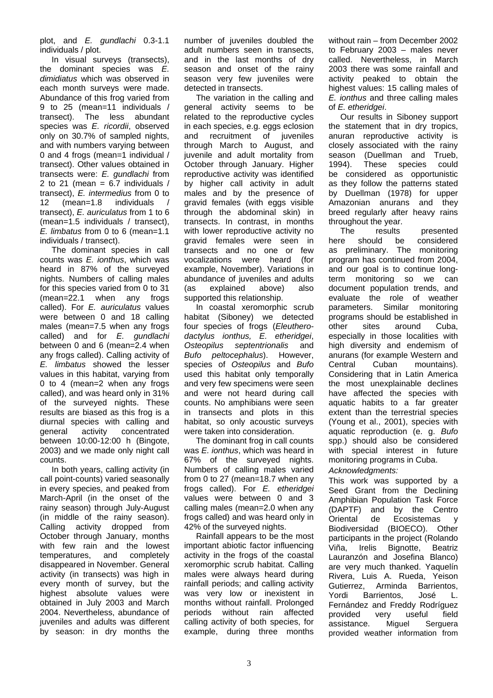plot, and *E. gundlachi* 0.3-1.1 individuals / plot.

In visual surveys (transects), the dominant species was *E. dimidiatus* which was observed in each month surveys were made. Abundance of this frog varied from 9 to 25 (mean=11 individuals / transect). The less abundant species was *E. ricordii*, observed only on 30.7% of sampled nights, and with numbers varying between 0 and 4 frogs (mean=1 individual / transect). Other values obtained in transects were: *E. gundlachi* from 2 to 21 (mean =  $6.7$  individuals / transect), *E. intermedius* from 0 to 12 (mean=1.8 individuals / transect), *E. auriculatus* from 1 to 6 (mean=1.5 individuals / transect), *E. limbatus* from 0 to 6 (mean=1.1 individuals / transect).

The dominant species in call counts was *E. ionthus*, which was heard in 87% of the surveyed nights. Numbers of calling males for this species varied from 0 to 31 (mean=22.1 when any frogs called). For *E. auriculatus* values were between 0 and 18 calling males (mean=7.5 when any frogs called) and for *E. gundlachi*  between 0 and 6 (mean=2.4 when any frogs called). Calling activity of *E. limbatus* showed the lesser values in this habitat, varying from 0 to 4 (mean=2 when any frogs called), and was heard only in 31% of the surveyed nights. These results are biased as this frog is a diurnal species with calling and general activity concentrated between 10:00-12:00 h (Bingote, 2003) and we made only night call counts.

In both years, calling activity (in call point-counts) varied seasonally in every species, and peaked from March-April (in the onset of the rainy season) through July-August (in middle of the rainy season). Calling activity dropped from October through January, months with few rain and the lowest temperatures, and completely disappeared in November. General activity (in transects) was high in every month of survey, but the highest absolute values were obtained in July 2003 and March 2004. Nevertheless, abundance of juveniles and adults was different by season: in dry months the number of juveniles doubled the adult numbers seen in transects, and in the last months of dry season and onset of the rainy season very few juveniles were detected in transects.

The variation in the calling and general activity seems to be related to the reproductive cycles in each species, e.g. eggs eclosion and recruitment of juveniles through March to August, and juvenile and adult mortality from October through January. Higher reproductive activity was identified by higher call activity in adult males and by the presence of gravid females (with eggs visible through the abdominal skin) in transects. In contrast, in months with lower reproductive activity no gravid females were seen in transects and no one or few vocalizations were heard (for example, November). Variations in abundance of juveniles and adults (as explained above) also supported this relationship.

In coastal xeromorphic scrub habitat (Siboney) we detected four species of frogs (*Eleutherodactylus ionthus, E. etheridgei*, *Osteopilus septentrionalis* and *Bufo peltocephalus*). However, species of *Osteopilus* and *Bufo*  used this habitat only temporally and very few specimens were seen and were not heard during call counts. No amphibians were seen in transects and plots in this habitat, so only acoustic surveys were taken into consideration.

The dominant frog in call counts was *E. ionthus*, which was heard in 67% of the surveyed nights. Numbers of calling males varied from 0 to 27 (mean=18.7 when any frogs called). For *E. etheridgei* values were between 0 and 3 calling males (mean=2.0 when any frogs called) and was heard only in 42% of the surveyed nights.

Rainfall appears to be the most important abiotic factor influencing activity in the frogs of the coastal xeromorphic scrub habitat. Calling males were always heard during rainfall periods; and calling activity was very low or inexistent in months without rainfall. Prolonged periods without rain affected calling activity of both species, for example, during three months

without rain – from December 2002 to February 2003 – males never called. Nevertheless, in March 2003 there was some rainfall and activity peaked to obtain the highest values: 15 calling males of *E. ionthus* and three calling males of *E. etheridgei*.

Our results in Siboney support the statement that in dry tropics, anuran reproductive activity is closely associated with the rainy season (Duellman and Trueb, 1994). These species could be considered as opportunistic as they follow the patterns stated by Duellman (1978) for upper Amazonian anurans and they breed regularly after heavy rains throughout the year.

The results presented here should be considered as preliminary. The monitoring program has continued from 2004, and our goal is to continue longterm monitoring so we can document population trends, and evaluate the role of weather parameters. Similar monitoring programs should be established in other sites around Cuba, especially in those localities with high diversity and endemism of anurans (for example Western and Central Cuban mountains). Considering that in Latin America the most unexplainable declines have affected the species with aquatic habits to a far greater extent than the terrestrial species (Young et al., 2001), species with aquatic reproduction (e. g. *Bufo*  spp.) should also be considered with special interest in future monitoring programs in Cuba.

*Acknowledgments:* 

This work was supported by a Seed Grant from the Declining Amphibian Population Task Force (DAPTF) and by the Centro Oriental de Ecosistemas y Biodiversidad (BIOECO). Other participants in the project (Rolando Viña, Irelis Bignotte, Beatriz Lauranzón and Josefina Blanco) are very much thanked. Yaquelín Rivera, Luis A. Rueda, Yeison Gutierrez, Arminda Barrientos, Yordi Barrientos, José L. Fernández and Freddy Rodríguez provided very useful field assistance. Miguel Serguera provided weather information from